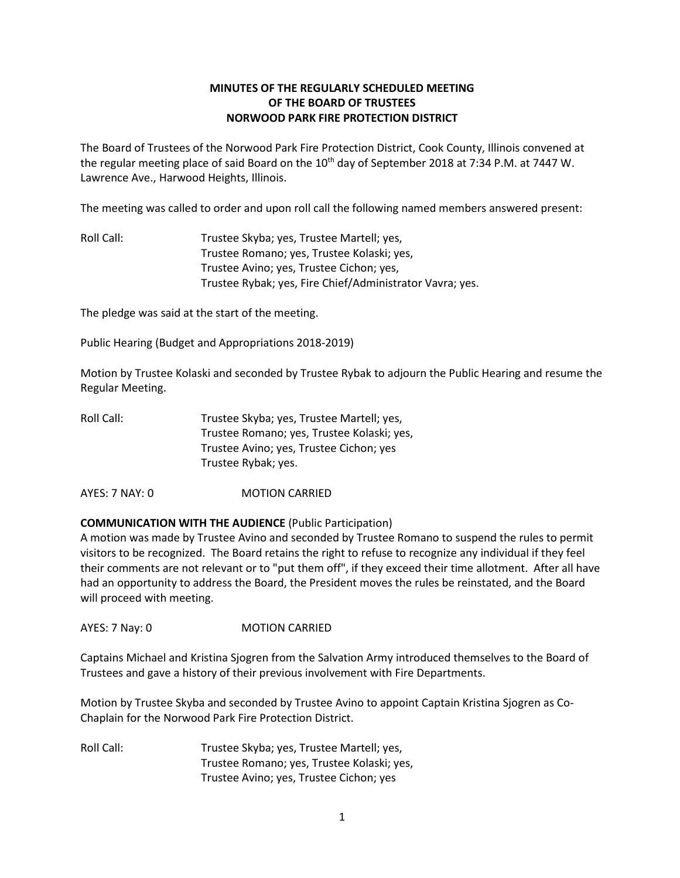# **MINUTES OF THE REGULARLY SCHEDULED MEETING OF THE BOARD OF TRUSTEES NORWOOD PARK FIRE PROTECTION DISTRICT**

The Board of Trustees of the Norwood Park Fire Protection District, Cook County, Illinois convened at the regular meeting place of said Board on the 10<sup>th</sup> day of September 2018 at 7:34 P.M. at 7447 W. Lawrence Ave., Harwood Heights, Illinois.

The meeting was called to order and upon roll call the following named members answered present:

Roll Call: Trustee Skyba; yes, Trustee Martell; yes, Trustee Romano; yes, Trustee Kolaski; yes, Trustee Avino; yes, Trustee Cichon; yes, Trustee Rybak; yes, Fire Chief/Administrator Vavra; yes.

The pledge was said at the start of the meeting.

Public Hearing (Budget and Appropriations 2018-2019)

Motion by Trustee Kolaski and seconded by Trustee Rybak to adjourn the Public Hearing and resume the Regular Meeting.

| Roll Call: | Trustee Skyba; yes, Trustee Martell; yes,  |
|------------|--------------------------------------------|
|            | Trustee Romano; yes, Trustee Kolaski; yes, |
|            | Trustee Avino; yes, Trustee Cichon; yes    |
|            | Trustee Rybak; yes.                        |

AYES: 7 NAY: 0 MOTION CARRIED

## **COMMUNICATION WITH THE AUDIENCE** (Public Participation)

A motion was made by Trustee Avino and seconded by Trustee Romano to suspend the rules to permit visitors to be recognized. The Board retains the right to refuse to recognize any individual if they feel their comments are not relevant or to "put them off", if they exceed their time allotment. After all have had an opportunity to address the Board, the President moves the rules be reinstated, and the Board will proceed with meeting.

AYES: 7 Nay: 0 MOTION CARRIED

Captains Michael and Kristina Sjogren from the Salvation Army introduced themselves to the Board of Trustees and gave a history of their previous involvement with Fire Departments.

Motion by Trustee Skyba and seconded by Trustee Avino to appoint Captain Kristina Sjogren as Co-Chaplain for the Norwood Park Fire Protection District.

Roll Call: Trustee Skyba; yes, Trustee Martell; yes, Trustee Romano; yes, Trustee Kolaski; yes, Trustee Avino; yes, Trustee Cichon; yes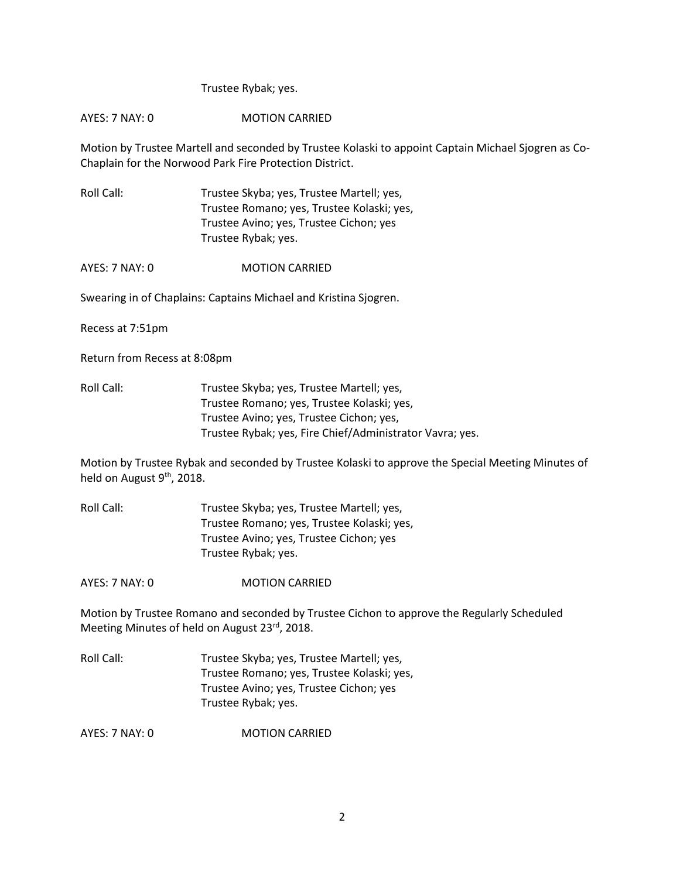### Trustee Rybak; yes.

## AYES: 7 NAY: 0 MOTION CARRIED

Motion by Trustee Martell and seconded by Trustee Kolaski to appoint Captain Michael Sjogren as Co-Chaplain for the Norwood Park Fire Protection District.

Roll Call: Trustee Skyba; yes, Trustee Martell; yes, Trustee Romano; yes, Trustee Kolaski; yes, Trustee Avino; yes, Trustee Cichon; yes Trustee Rybak; yes.

AYES: 7 NAY: 0 MOTION CARRIED

Swearing in of Chaplains: Captains Michael and Kristina Sjogren.

Recess at 7:51pm

Return from Recess at 8:08pm

Roll Call: Trustee Skyba; yes, Trustee Martell; yes, Trustee Romano; yes, Trustee Kolaski; yes, Trustee Avino; yes, Trustee Cichon; yes, Trustee Rybak; yes, Fire Chief/Administrator Vavra; yes.

Motion by Trustee Rybak and seconded by Trustee Kolaski to approve the Special Meeting Minutes of held on August 9<sup>th</sup>, 2018.

Roll Call: Trustee Skyba; yes, Trustee Martell; yes, Trustee Romano; yes, Trustee Kolaski; yes, Trustee Avino; yes, Trustee Cichon; yes Trustee Rybak; yes.

AYES: 7 NAY: 0 **MOTION CARRIED** 

Motion by Trustee Romano and seconded by Trustee Cichon to approve the Regularly Scheduled Meeting Minutes of held on August 23rd, 2018.

Roll Call: Trustee Skyba; yes, Trustee Martell; yes, Trustee Romano; yes, Trustee Kolaski; yes, Trustee Avino; yes, Trustee Cichon; yes Trustee Rybak; yes.

AYES: 7 NAY: 0 **MOTION CARRIED**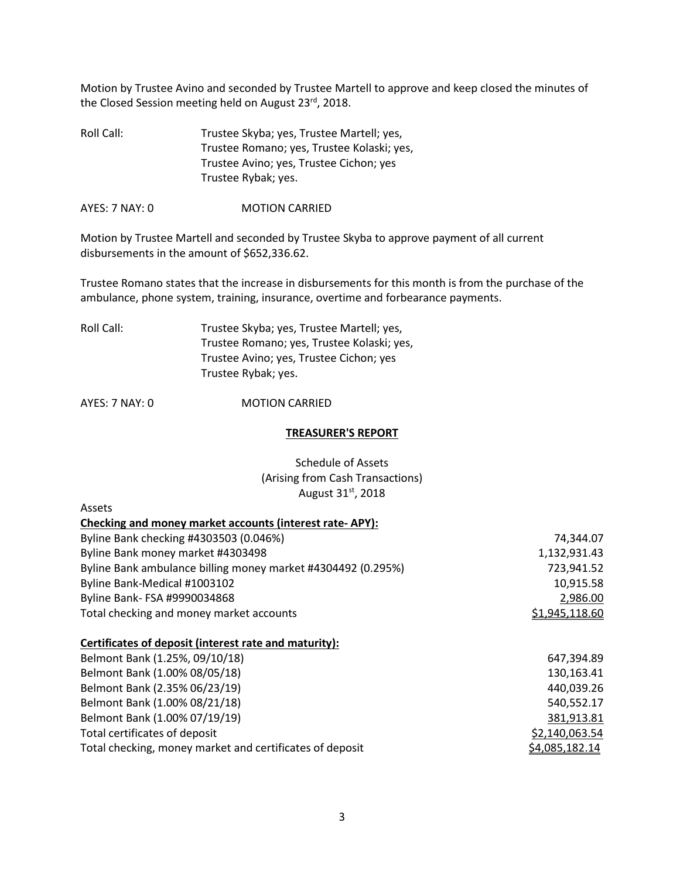Motion by Trustee Avino and seconded by Trustee Martell to approve and keep closed the minutes of the Closed Session meeting held on August 23rd, 2018.

Roll Call: Trustee Skyba; yes, Trustee Martell; yes, Trustee Romano; yes, Trustee Kolaski; yes, Trustee Avino; yes, Trustee Cichon; yes Trustee Rybak; yes.

AYES: 7 NAY: 0 **MOTION CARRIED** 

Motion by Trustee Martell and seconded by Trustee Skyba to approve payment of all current disbursements in the amount of \$652,336.62.

Trustee Romano states that the increase in disbursements for this month is from the purchase of the ambulance, phone system, training, insurance, overtime and forbearance payments.

| Roll Call: | Trustee Skyba; yes, Trustee Martell; yes,  |
|------------|--------------------------------------------|
|            | Trustee Romano; yes, Trustee Kolaski; yes, |
|            | Trustee Avino; yes, Trustee Cichon; yes    |
|            | Trustee Rybak; yes.                        |
|            |                                            |

AYES: 7 NAY: 0 **MOTION CARRIED** 

Assets

#### **TREASURER'S REPORT**

Schedule of Assets (Arising from Cash Transactions) August 31st, 2018

| Checking and money market accounts (interest rate-APY):      |                |
|--------------------------------------------------------------|----------------|
| Byline Bank checking #4303503 (0.046%)                       | 74,344.07      |
| Byline Bank money market #4303498                            | 1,132,931.43   |
| Byline Bank ambulance billing money market #4304492 (0.295%) | 723,941.52     |
| Byline Bank-Medical #1003102                                 | 10,915.58      |
| Byline Bank- FSA #9990034868                                 | 2,986.00       |
| Total checking and money market accounts                     | \$1,945,118.60 |
| Certificates of deposit (interest rate and maturity):        |                |
| Belmont Bank (1.25%, 09/10/18)                               | 647,394.89     |
| Belmont Bank (1.00% 08/05/18)                                | 130,163.41     |
| Belmont Bank (2.35% 06/23/19)                                | 440,039.26     |

| 440,039.ZC     |
|----------------|
| 540,552.17     |
| 381,913.81     |
| \$2,140,063.54 |
| \$4,085,182.14 |
|                |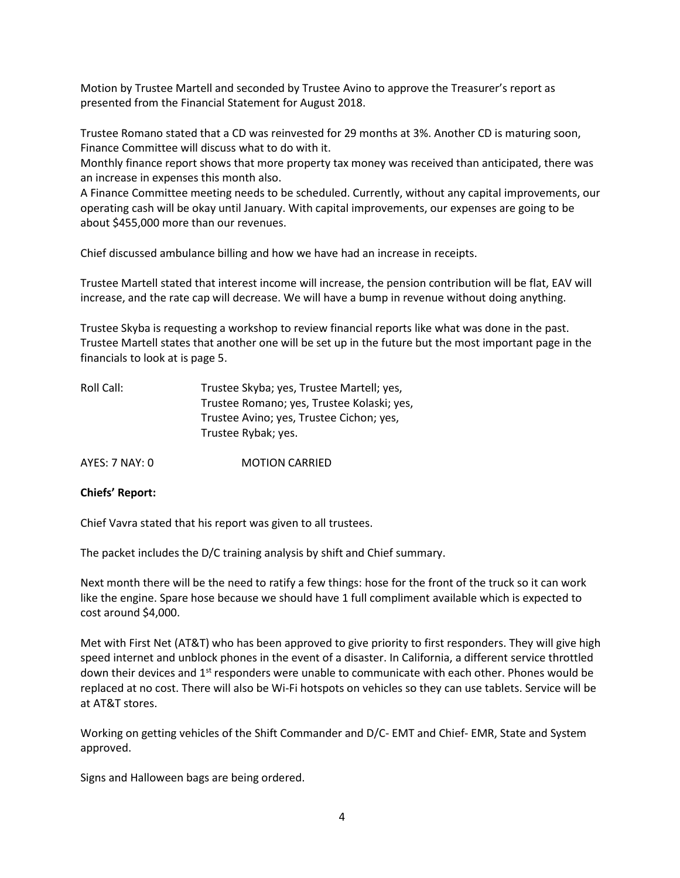Motion by Trustee Martell and seconded by Trustee Avino to approve the Treasurer's report as presented from the Financial Statement for August 2018.

Trustee Romano stated that a CD was reinvested for 29 months at 3%. Another CD is maturing soon, Finance Committee will discuss what to do with it.

Monthly finance report shows that more property tax money was received than anticipated, there was an increase in expenses this month also.

A Finance Committee meeting needs to be scheduled. Currently, without any capital improvements, our operating cash will be okay until January. With capital improvements, our expenses are going to be about \$455,000 more than our revenues.

Chief discussed ambulance billing and how we have had an increase in receipts.

Trustee Martell stated that interest income will increase, the pension contribution will be flat, EAV will increase, and the rate cap will decrease. We will have a bump in revenue without doing anything.

Trustee Skyba is requesting a workshop to review financial reports like what was done in the past. Trustee Martell states that another one will be set up in the future but the most important page in the financials to look at is page 5.

| Roll Call: | Trustee Skyba; yes, Trustee Martell; yes,  |
|------------|--------------------------------------------|
|            | Trustee Romano; yes, Trustee Kolaski; yes, |
|            | Trustee Avino; yes, Trustee Cichon; yes,   |
|            | Trustee Rybak; yes.                        |

AYES: 7 NAY: 0 MOTION CARRIED

#### **Chiefs' Report:**

Chief Vavra stated that his report was given to all trustees.

The packet includes the D/C training analysis by shift and Chief summary.

Next month there will be the need to ratify a few things: hose for the front of the truck so it can work like the engine. Spare hose because we should have 1 full compliment available which is expected to cost around \$4,000.

Met with First Net (AT&T) who has been approved to give priority to first responders. They will give high speed internet and unblock phones in the event of a disaster. In California, a different service throttled down their devices and 1<sup>st</sup> responders were unable to communicate with each other. Phones would be replaced at no cost. There will also be Wi-Fi hotspots on vehicles so they can use tablets. Service will be at AT&T stores.

Working on getting vehicles of the Shift Commander and D/C- EMT and Chief- EMR, State and System approved.

Signs and Halloween bags are being ordered.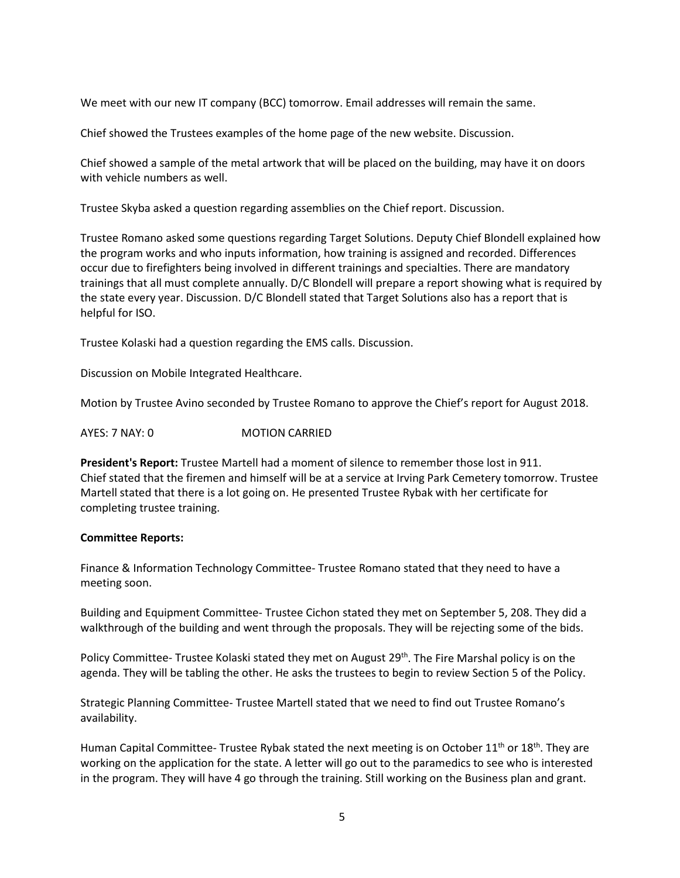We meet with our new IT company (BCC) tomorrow. Email addresses will remain the same.

Chief showed the Trustees examples of the home page of the new website. Discussion.

Chief showed a sample of the metal artwork that will be placed on the building, may have it on doors with vehicle numbers as well.

Trustee Skyba asked a question regarding assemblies on the Chief report. Discussion.

Trustee Romano asked some questions regarding Target Solutions. Deputy Chief Blondell explained how the program works and who inputs information, how training is assigned and recorded. Differences occur due to firefighters being involved in different trainings and specialties. There are mandatory trainings that all must complete annually. D/C Blondell will prepare a report showing what is required by the state every year. Discussion. D/C Blondell stated that Target Solutions also has a report that is helpful for ISO.

Trustee Kolaski had a question regarding the EMS calls. Discussion.

Discussion on Mobile Integrated Healthcare.

Motion by Trustee Avino seconded by Trustee Romano to approve the Chief's report for August 2018.

AYES: 7 NAY: 0 MOTION CARRIED

**President's Report:** Trustee Martell had a moment of silence to remember those lost in 911. Chief stated that the firemen and himself will be at a service at Irving Park Cemetery tomorrow. Trustee Martell stated that there is a lot going on. He presented Trustee Rybak with her certificate for completing trustee training.

#### **Committee Reports:**

Finance & Information Technology Committee- Trustee Romano stated that they need to have a meeting soon.

Building and Equipment Committee- Trustee Cichon stated they met on September 5, 208. They did a walkthrough of the building and went through the proposals. They will be rejecting some of the bids.

Policy Committee- Trustee Kolaski stated they met on August 29<sup>th</sup>. The Fire Marshal policy is on the agenda. They will be tabling the other. He asks the trustees to begin to review Section 5 of the Policy.

Strategic Planning Committee- Trustee Martell stated that we need to find out Trustee Romano's availability.

Human Capital Committee- Trustee Rybak stated the next meeting is on October 11<sup>th</sup> or 18<sup>th</sup>. They are working on the application for the state. A letter will go out to the paramedics to see who is interested in the program. They will have 4 go through the training. Still working on the Business plan and grant.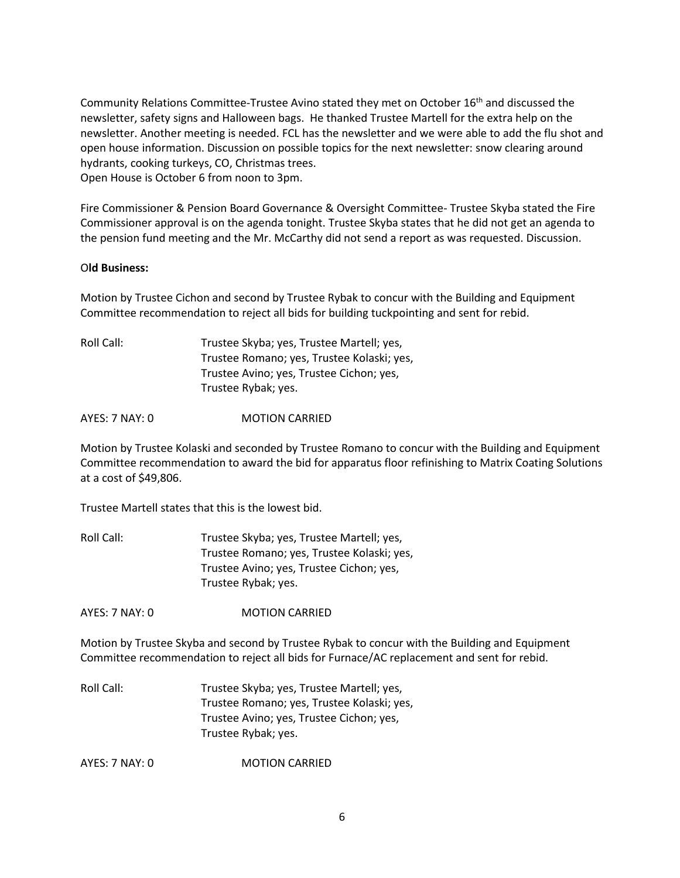Community Relations Committee-Trustee Avino stated they met on October 16<sup>th</sup> and discussed the newsletter, safety signs and Halloween bags. He thanked Trustee Martell for the extra help on the newsletter. Another meeting is needed. FCL has the newsletter and we were able to add the flu shot and open house information. Discussion on possible topics for the next newsletter: snow clearing around hydrants, cooking turkeys, CO, Christmas trees. Open House is October 6 from noon to 3pm.

Fire Commissioner & Pension Board Governance & Oversight Committee- Trustee Skyba stated the Fire Commissioner approval is on the agenda tonight. Trustee Skyba states that he did not get an agenda to the pension fund meeting and the Mr. McCarthy did not send a report as was requested. Discussion.

## O**ld Business:**

Motion by Trustee Cichon and second by Trustee Rybak to concur with the Building and Equipment Committee recommendation to reject all bids for building tuckpointing and sent for rebid.

Roll Call: Trustee Skyba; yes, Trustee Martell; yes, Trustee Romano; yes, Trustee Kolaski; yes, Trustee Avino; yes, Trustee Cichon; yes, Trustee Rybak; yes.

AYES: 7 NAY: 0 **MOTION CARRIED** 

Motion by Trustee Kolaski and seconded by Trustee Romano to concur with the Building and Equipment Committee recommendation to award the bid for apparatus floor refinishing to Matrix Coating Solutions at a cost of \$49,806.

Trustee Martell states that this is the lowest bid.

Roll Call: Trustee Skyba; yes, Trustee Martell; yes, Trustee Romano; yes, Trustee Kolaski; yes, Trustee Avino; yes, Trustee Cichon; yes, Trustee Rybak; yes.

AYES: 7 NAY: 0 **MOTION CARRIED** 

Motion by Trustee Skyba and second by Trustee Rybak to concur with the Building and Equipment Committee recommendation to reject all bids for Furnace/AC replacement and sent for rebid.

Roll Call: Trustee Skyba; yes, Trustee Martell; yes, Trustee Romano; yes, Trustee Kolaski; yes, Trustee Avino; yes, Trustee Cichon; yes, Trustee Rybak; yes.

AYES: 7 NAY: 0 MOTION CARRIED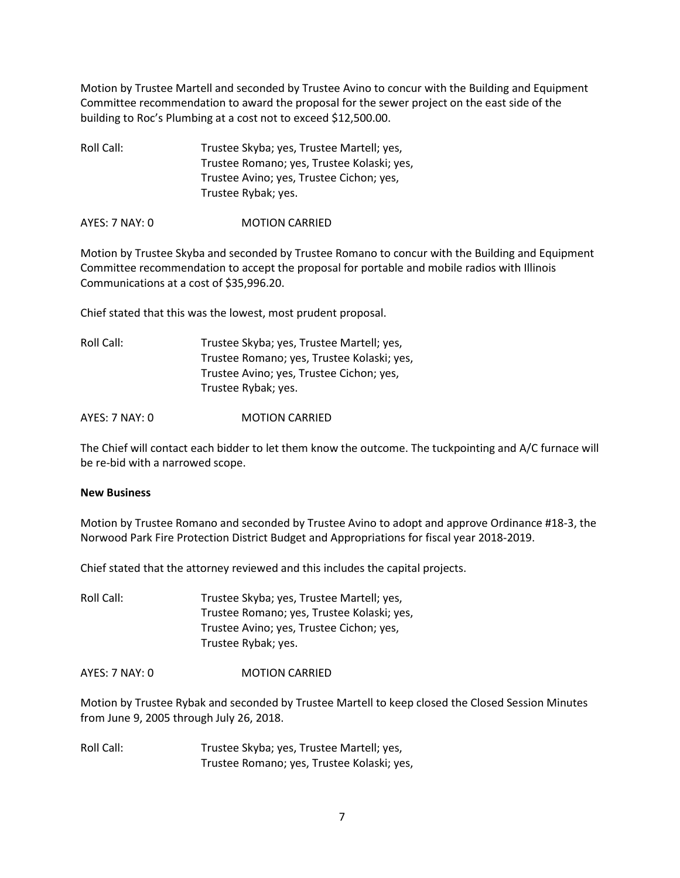Motion by Trustee Martell and seconded by Trustee Avino to concur with the Building and Equipment Committee recommendation to award the proposal for the sewer project on the east side of the building to Roc's Plumbing at a cost not to exceed \$12,500.00.

Roll Call: Trustee Skyba; yes, Trustee Martell; yes, Trustee Romano; yes, Trustee Kolaski; yes, Trustee Avino; yes, Trustee Cichon; yes, Trustee Rybak; yes.

AYES: 7 NAY: 0 MOTION CARRIED

Motion by Trustee Skyba and seconded by Trustee Romano to concur with the Building and Equipment Committee recommendation to accept the proposal for portable and mobile radios with Illinois Communications at a cost of \$35,996.20.

Chief stated that this was the lowest, most prudent proposal.

| Trustee Skyba; yes, Trustee Martell; yes,  |
|--------------------------------------------|
| Trustee Romano; yes, Trustee Kolaski; yes, |
| Trustee Avino; yes, Trustee Cichon; yes,   |
| Trustee Rybak; yes.                        |
|                                            |

AYES: 7 NAY: 0 **MOTION CARRIED** 

The Chief will contact each bidder to let them know the outcome. The tuckpointing and A/C furnace will be re-bid with a narrowed scope.

#### **New Business**

Motion by Trustee Romano and seconded by Trustee Avino to adopt and approve Ordinance #18-3, the Norwood Park Fire Protection District Budget and Appropriations for fiscal year 2018-2019.

Chief stated that the attorney reviewed and this includes the capital projects.

Roll Call: Trustee Skyba; yes, Trustee Martell; yes, Trustee Romano; yes, Trustee Kolaski; yes, Trustee Avino; yes, Trustee Cichon; yes, Trustee Rybak; yes.

AYES: 7 NAY: 0 **MOTION CARRIED** 

Motion by Trustee Rybak and seconded by Trustee Martell to keep closed the Closed Session Minutes from June 9, 2005 through July 26, 2018.

Roll Call: Trustee Skyba; yes, Trustee Martell; yes, Trustee Romano; yes, Trustee Kolaski; yes,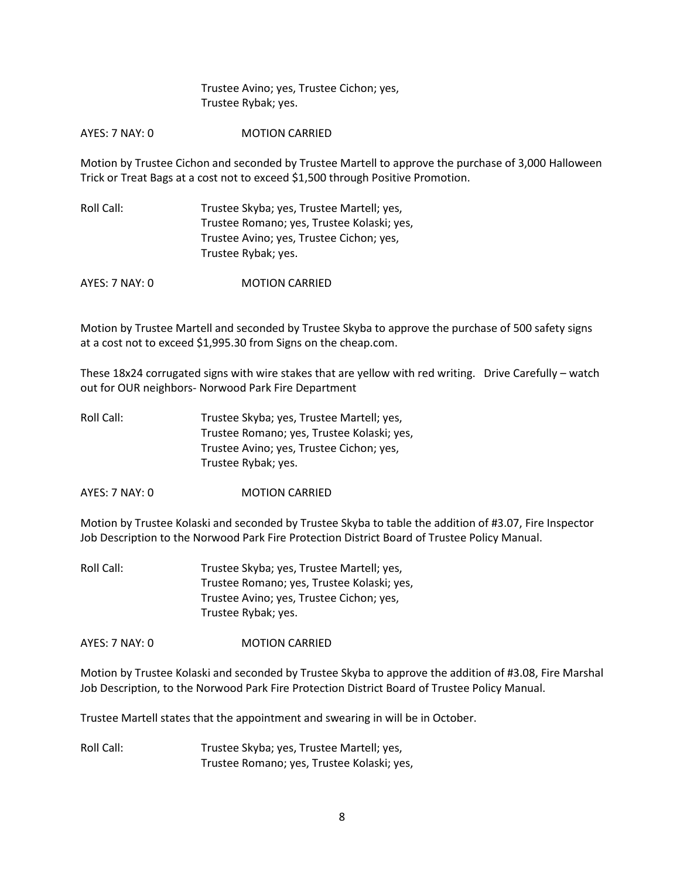Trustee Avino; yes, Trustee Cichon; yes, Trustee Rybak; yes.

AYES: 7 NAY: 0 **MOTION CARRIED** 

Motion by Trustee Cichon and seconded by Trustee Martell to approve the purchase of 3,000 Halloween Trick or Treat Bags at a cost not to exceed \$1,500 through Positive Promotion.

Roll Call: Trustee Skyba; yes, Trustee Martell; yes, Trustee Romano; yes, Trustee Kolaski; yes, Trustee Avino; yes, Trustee Cichon; yes, Trustee Rybak; yes.

AYES: 7 NAY: 0 MOTION CARRIED

Motion by Trustee Martell and seconded by Trustee Skyba to approve the purchase of 500 safety signs at a cost not to exceed \$1,995.30 from Signs on the cheap.com.

These 18x24 corrugated signs with wire stakes that are yellow with red writing. Drive Carefully – watch out for OUR neighbors- Norwood Park Fire Department

Roll Call: Trustee Skyba; yes, Trustee Martell; yes, Trustee Romano; yes, Trustee Kolaski; yes, Trustee Avino; yes, Trustee Cichon; yes, Trustee Rybak; yes.

AYES: 7 NAY: 0 MOTION CARRIED

Motion by Trustee Kolaski and seconded by Trustee Skyba to table the addition of #3.07, Fire Inspector Job Description to the Norwood Park Fire Protection District Board of Trustee Policy Manual.

Roll Call: Trustee Skyba; yes, Trustee Martell; yes, Trustee Romano; yes, Trustee Kolaski; yes, Trustee Avino; yes, Trustee Cichon; yes, Trustee Rybak; yes.

AYES: 7 NAY: 0 MOTION CARRIED

Motion by Trustee Kolaski and seconded by Trustee Skyba to approve the addition of #3.08, Fire Marshal Job Description, to the Norwood Park Fire Protection District Board of Trustee Policy Manual.

Trustee Martell states that the appointment and swearing in will be in October.

Roll Call: Trustee Skyba; yes, Trustee Martell; yes, Trustee Romano; yes, Trustee Kolaski; yes,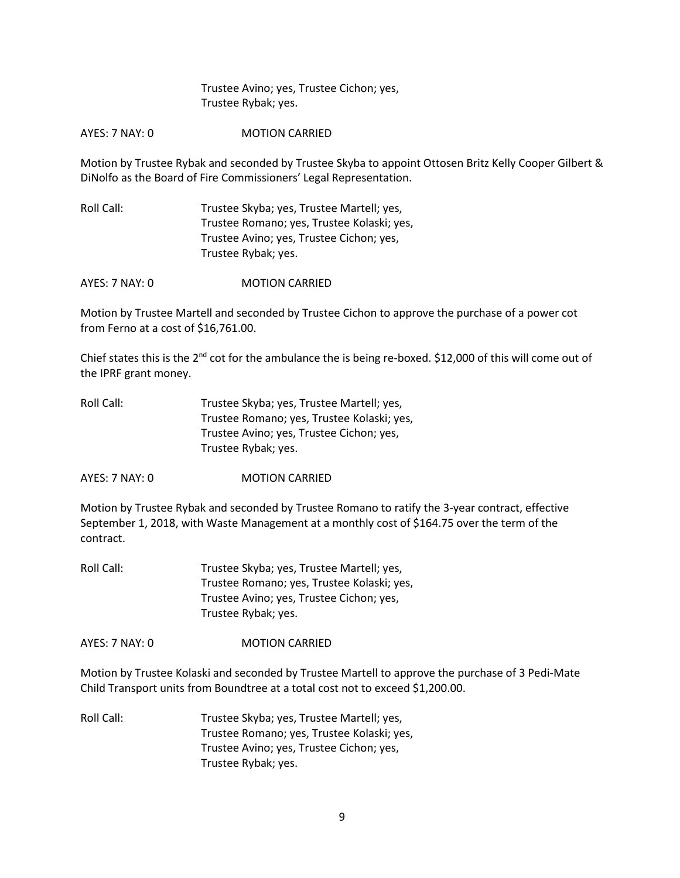Trustee Avino; yes, Trustee Cichon; yes, Trustee Rybak; yes.

AYES: 7 NAY: 0 MOTION CARRIED

Motion by Trustee Rybak and seconded by Trustee Skyba to appoint Ottosen Britz Kelly Cooper Gilbert & DiNolfo as the Board of Fire Commissioners' Legal Representation.

Roll Call: Trustee Skyba; yes, Trustee Martell; yes, Trustee Romano; yes, Trustee Kolaski; yes, Trustee Avino; yes, Trustee Cichon; yes, Trustee Rybak; yes.

AYES: 7 NAY: 0 MOTION CARRIED

Motion by Trustee Martell and seconded by Trustee Cichon to approve the purchase of a power cot from Ferno at a cost of \$16,761.00.

Chief states this is the 2nd cot for the ambulance the is being re-boxed. \$12,000 of this will come out of the IPRF grant money.

| Trustee Skyba; yes, Trustee Martell; yes,  |
|--------------------------------------------|
| Trustee Romano; yes, Trustee Kolaski; yes, |
| Trustee Avino; yes, Trustee Cichon; yes,   |
| Trustee Rybak; yes.                        |
|                                            |

AYES: 7 NAY: 0 MOTION CARRIED

Motion by Trustee Rybak and seconded by Trustee Romano to ratify the 3-year contract, effective September 1, 2018, with Waste Management at a monthly cost of \$164.75 over the term of the contract.

Roll Call: Trustee Skyba; yes, Trustee Martell; yes, Trustee Romano; yes, Trustee Kolaski; yes, Trustee Avino; yes, Trustee Cichon; yes, Trustee Rybak; yes.

AYES: 7 NAY: 0 MOTION CARRIED

Motion by Trustee Kolaski and seconded by Trustee Martell to approve the purchase of 3 Pedi-Mate Child Transport units from Boundtree at a total cost not to exceed \$1,200.00.

Roll Call: Trustee Skyba; yes, Trustee Martell; yes, Trustee Romano; yes, Trustee Kolaski; yes, Trustee Avino; yes, Trustee Cichon; yes, Trustee Rybak; yes.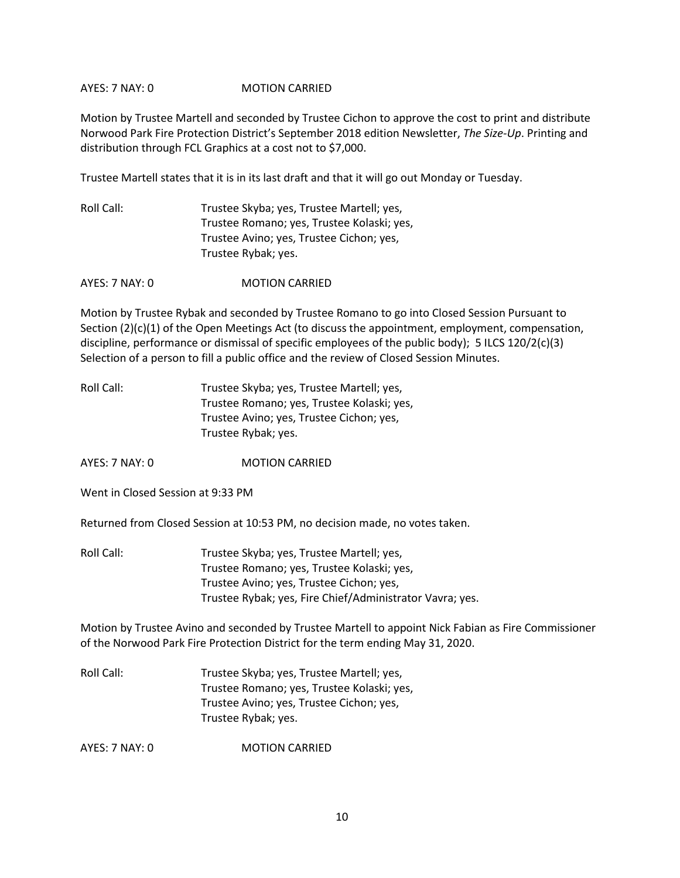## AYES: 7 NAY: 0 MOTION CARRIED

Motion by Trustee Martell and seconded by Trustee Cichon to approve the cost to print and distribute Norwood Park Fire Protection District's September 2018 edition Newsletter, *The Size-Up*. Printing and distribution through FCL Graphics at a cost not to \$7,000.

Trustee Martell states that it is in its last draft and that it will go out Monday or Tuesday.

Roll Call: Trustee Skyba; yes, Trustee Martell; yes, Trustee Romano; yes, Trustee Kolaski; yes, Trustee Avino; yes, Trustee Cichon; yes, Trustee Rybak; yes.

AYES: 7 NAY: 0 MOTION CARRIED

Motion by Trustee Rybak and seconded by Trustee Romano to go into Closed Session Pursuant to Section (2)(c)(1) of the Open Meetings Act (to discuss the appointment, employment, compensation, discipline, performance or dismissal of specific employees of the public body); 5 ILCS 120/2(c)(3) Selection of a person to fill a public office and the review of Closed Session Minutes.

| Roll Call: | Trustee Skyba; yes, Trustee Martell; yes,  |
|------------|--------------------------------------------|
|            | Trustee Romano; yes, Trustee Kolaski; yes, |
|            | Trustee Avino; yes, Trustee Cichon; yes,   |
|            | Trustee Rybak; yes.                        |

AYES: 7 NAY: 0 MOTION CARRIED

Went in Closed Session at 9:33 PM

Returned from Closed Session at 10:53 PM, no decision made, no votes taken.

Roll Call: Trustee Skyba; yes, Trustee Martell; yes, Trustee Romano; yes, Trustee Kolaski; yes, Trustee Avino; yes, Trustee Cichon; yes, Trustee Rybak; yes, Fire Chief/Administrator Vavra; yes.

Motion by Trustee Avino and seconded by Trustee Martell to appoint Nick Fabian as Fire Commissioner of the Norwood Park Fire Protection District for the term ending May 31, 2020.

Roll Call: Trustee Skyba; yes, Trustee Martell; yes, Trustee Romano; yes, Trustee Kolaski; yes, Trustee Avino; yes, Trustee Cichon; yes, Trustee Rybak; yes.

AYES: 7 NAY: 0 MOTION CARRIED